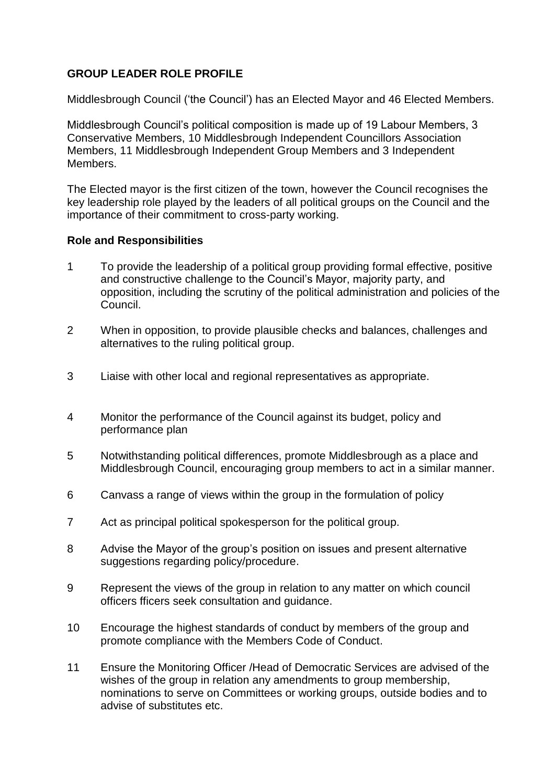## **GROUP LEADER ROLE PROFILE**

Middlesbrough Council ('the Council') has an Elected Mayor and 46 Elected Members.

Middlesbrough Council's political composition is made up of 19 Labour Members, 3 Conservative Members, 10 Middlesbrough Independent Councillors Association Members, 11 Middlesbrough Independent Group Members and 3 Independent Members.

The Elected mayor is the first citizen of the town, however the Council recognises the key leadership role played by the leaders of all political groups on the Council and the importance of their commitment to cross-party working.

## **Role and Responsibilities**

- 1 To provide the leadership of a political group providing formal effective, positive and constructive challenge to the Council's Mayor, majority party, and opposition, including the scrutiny of the political administration and policies of the Council.
- 2 When in opposition, to provide plausible checks and balances, challenges and alternatives to the ruling political group.
- 3 Liaise with other local and regional representatives as appropriate.
- 4 Monitor the performance of the Council against its budget, policy and performance plan
- 5 Notwithstanding political differences, promote Middlesbrough as a place and Middlesbrough Council, encouraging group members to act in a similar manner.
- 6 Canvass a range of views within the group in the formulation of policy
- 7 Act as principal political spokesperson for the political group.
- 8 Advise the Mayor of the group's position on issues and present alternative suggestions regarding policy/procedure.
- 9 Represent the views of the group in relation to any matter on which council officers fficers seek consultation and guidance.
- 10 Encourage the highest standards of conduct by members of the group and promote compliance with the Members Code of Conduct.
- 11 Ensure the Monitoring Officer /Head of Democratic Services are advised of the wishes of the group in relation any amendments to group membership, nominations to serve on Committees or working groups, outside bodies and to advise of substitutes etc.